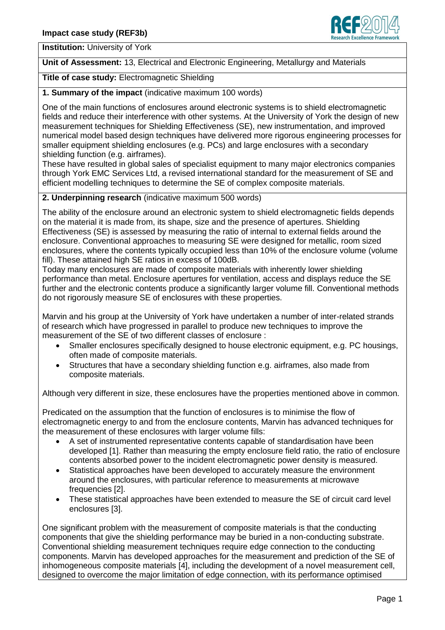

**Institution:** University of York

**Unit of Assessment:** 13, Electrical and Electronic Engineering, Metallurgy and Materials

**Title of case study:** Electromagnetic Shielding

**1. Summary of the impact** (indicative maximum 100 words)

One of the main functions of enclosures around electronic systems is to shield electromagnetic fields and reduce their interference with other systems. At the University of York the design of new measurement techniques for Shielding Effectiveness (SE), new instrumentation, and improved numerical model based design techniques have delivered more rigorous engineering processes for smaller equipment shielding enclosures (e.g. PCs) and large enclosures with a secondary shielding function (e.g. airframes).

These have resulted in global sales of specialist equipment to many major electronics companies through York EMC Services Ltd, a revised international standard for the measurement of SE and efficient modelling techniques to determine the SE of complex composite materials.

### **2. Underpinning research** (indicative maximum 500 words)

The ability of the enclosure around an electronic system to shield electromagnetic fields depends on the material it is made from, its shape, size and the presence of apertures. Shielding Effectiveness (SE) is assessed by measuring the ratio of internal to external fields around the enclosure. Conventional approaches to measuring SE were designed for metallic, room sized enclosures, where the contents typically occupied less than 10% of the enclosure volume (volume fill). These attained high SE ratios in excess of 100dB.

Today many enclosures are made of composite materials with inherently lower shielding performance than metal. Enclosure apertures for ventilation, access and displays reduce the SE further and the electronic contents produce a significantly larger volume fill. Conventional methods do not rigorously measure SE of enclosures with these properties.

Marvin and his group at the University of York have undertaken a number of inter-related strands of research which have progressed in parallel to produce new techniques to improve the measurement of the SE of two different classes of enclosure :

- Smaller enclosures specifically designed to house electronic equipment, e.g. PC housings, often made of composite materials.
- Structures that have a secondary shielding function e.g. airframes, also made from composite materials.

Although very different in size, these enclosures have the properties mentioned above in common.

Predicated on the assumption that the function of enclosures is to minimise the flow of electromagnetic energy to and from the enclosure contents, Marvin has advanced techniques for the measurement of these enclosures with larger volume fills:

- A set of instrumented representative contents capable of standardisation have been developed [1]. Rather than measuring the empty enclosure field ratio, the ratio of enclosure contents absorbed power to the incident electromagnetic power density is measured.
- Statistical approaches have been developed to accurately measure the environment around the enclosures, with particular reference to measurements at microwave frequencies [2].
- These statistical approaches have been extended to measure the SE of circuit card level enclosures [3].

One significant problem with the measurement of composite materials is that the conducting components that give the shielding performance may be buried in a non-conducting substrate. Conventional shielding measurement techniques require edge connection to the conducting components. Marvin has developed approaches for the measurement and prediction of the SE of inhomogeneous composite materials [4], including the development of a novel measurement cell, designed to overcome the major limitation of edge connection, with its performance optimised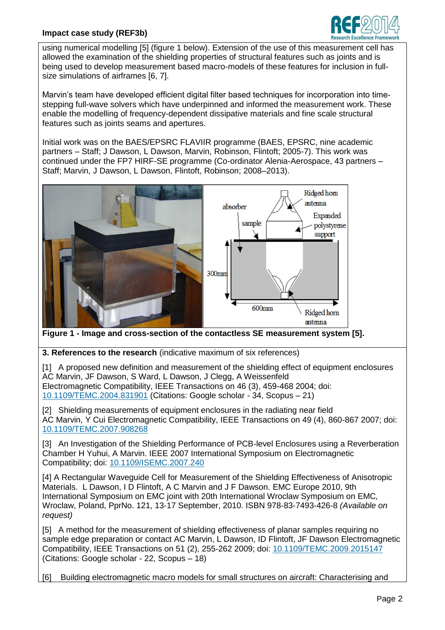### **Impact case study (REF3b)**



using numerical modelling [5] (figure 1 below). Extension of the use of this measurement cell has allowed the examination of the shielding properties of structural features such as joints and is being used to develop measurement based macro-models of these features for inclusion in fullsize simulations of airframes [6, 7].

Marvin's team have developed efficient digital filter based techniques for incorporation into timestepping full-wave solvers which have underpinned and informed the measurement work. These enable the modelling of frequency-dependent dissipative materials and fine scale structural features such as joints seams and apertures.

Initial work was on the BAES/EPSRC FLAVIIR programme (BAES, EPSRC, nine academic partners – Staff; J Dawson, L Dawson, Marvin, Robinson, Flintoft; 2005-7). This work was continued under the FP7 HIRF-SE programme (Co-ordinator Alenia-Aerospace, 43 partners – Staff; Marvin, J Dawson, L Dawson, Flintoft, Robinson; 2008–2013).



**Figure 1 - Image and cross-section of the contactless SE measurement system [5].**

**3. References to the research** (indicative maximum of six references)

[1]A proposed new definition and measurement of the shielding effect of equipment enclosures AC Marvin, JF Dawson, S Ward, L Dawson, J Clegg, A Weissenfeld Electromagnetic Compatibility, IEEE Transactions on 46 (3), 459-468 2004; doi: [10.1109/TEMC.2004.831901](http://dx.doi.org/10.1109/TEMC.2004.831901) (Citations: Google scholar - 34, Scopus – 21)

[2] Shielding measurements of equipment enclosures in the radiating near field AC Marvin, Y Cui Electromagnetic Compatibility, IEEE Transactions on 49 (4), 860-867 2007; doi: [10.1109/TEMC.2007.908268](http://dx.doi.org/10.1109/TEMC.2007.908268)

[3] An Investigation of the Shielding Performance of PCB-level Enclosures using a Reverberation Chamber H Yuhui, A Marvin. IEEE 2007 International Symposium on Electromagnetic Compatibility; doi: [10.1109/ISEMC.2007.240](http://dx.doi.org/10.1109/ISEMC.2007.240)

[4] A Rectangular Waveguide Cell for Measurement of the Shielding Effectiveness of Anisotropic Materials. L Dawson, I D Flintoft, A C Marvin and J F Dawson. EMC Europe 2010, 9th International Symposium on EMC joint with 20th International Wroclaw Symposium on EMC*,*  Wroclaw, Poland, PprNo. 121, 13-17 September, 2010. ISBN 978-83-7493-426-8 *(Available on request)*

[5] A method for the measurement of shielding effectiveness of planar samples requiring no sample edge preparation or contact AC Marvin, L Dawson, ID Flintoft, JF Dawson Electromagnetic Compatibility, IEEE Transactions on 51 (2), 255-262 2009; doi: [10.1109/TEMC.2009.2015147](http://dx.doi.org/10.1109/TEMC.2009.2015147) (Citations: Google scholar - 22, Scopus – 18)

[6] Building electromagnetic macro models for small structures on aircraft: Characterising and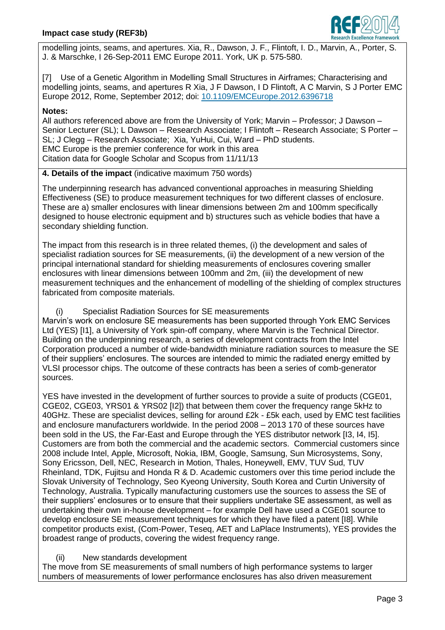

modelling joints, seams, and apertures. Xia, R., Dawson, J. F., Flintoft, I. D., Marvin, A., Porter, S. J. & Marschke, I 26-Sep-2011 EMC Europe 2011. York, UK p. 575-580.

[7] Use of a Genetic Algorithm in Modelling Small Structures in Airframes; Characterising and modelling joints, seams, and apertures R Xia, J F Dawson, I D Flintoft, A C Marvin, S J Porter EMC Europe 2012, Rome, September 2012; doi: [10.1109/EMCEurope.2012.6396718](http://dx.doi.org/10.1109/EMCEurope.2012.6396718)

### **Notes:**

All authors referenced above are from the University of York; Marvin – Professor; J Dawson – Senior Lecturer (SL); L Dawson – Research Associate; I Flintoft – Research Associate; S Porter – SL; J Clegg – Research Associate; Xia, YuHui, Cui, Ward – PhD students. EMC Europe is the premier conference for work in this area Citation data for Google Scholar and Scopus from 11/11/13

## **4. Details of the impact** (indicative maximum 750 words)

The underpinning research has advanced conventional approaches in measuring Shielding Effectiveness (SE) to produce measurement techniques for two different classes of enclosure. These are a) smaller enclosures with linear dimensions between 2m and 100mm specifically designed to house electronic equipment and b) structures such as vehicle bodies that have a secondary shielding function.

The impact from this research is in three related themes, (i) the development and sales of specialist radiation sources for SE measurements, (ii) the development of a new version of the principal international standard for shielding measurements of enclosures covering smaller enclosures with linear dimensions between 100mm and 2m, (iii) the development of new measurement techniques and the enhancement of modelling of the shielding of complex structures fabricated from composite materials.

# (i) Specialist Radiation Sources for SE measurements

Marvin's work on enclosure SE measurements has been supported through York EMC Services Ltd (YES) [I1], a University of York spin-off company, where Marvin is the Technical Director. Building on the underpinning research, a series of development contracts from the Intel Corporation produced a number of wide-bandwidth miniature radiation sources to measure the SE of their suppliers' enclosures. The sources are intended to mimic the radiated energy emitted by VLSI processor chips. The outcome of these contracts has been a series of comb-generator sources.

YES have invested in the development of further sources to provide a suite of products (CGE01, CGE02, CGE03, YRS01 & YRS02 [I2]) that between them cover the frequency range 5kHz to 40GHz. These are specialist devices, selling for around £2k - £5k each, used by EMC test facilities and enclosure manufacturers worldwide. In the period 2008 – 2013 170 of these sources have been sold in the US, the Far-East and Europe through the YES distributor network [I3, I4, I5]. Customers are from both the commercial and the academic sectors. Commercial customers since 2008 include Intel, Apple, Microsoft, Nokia, IBM, Google, Samsung, Sun Microsystems, Sony, Sony Ericsson, Dell, NEC, Research in Motion, Thales, Honeywell, EMV, TUV Sud, TUV Rheinland, TDK, Fujitsu and Honda R & D. Academic customers over this time period include the Slovak University of Technology, Seo Kyeong University, South Korea and Curtin University of Technology, Australia. Typically manufacturing customers use the sources to assess the SE of their suppliers' enclosures or to ensure that their suppliers undertake SE assessment, as well as undertaking their own in-house development – for example Dell have used a CGE01 source to develop enclosure SE measurement techniques for which they have filed a patent [I8]. While competitor products exist, (Com-Power, Teseq, AET and LaPlace Instruments), YES provides the broadest range of products, covering the widest frequency range.

# (ii) New standards development

The move from SE measurements of small numbers of high performance systems to larger numbers of measurements of lower performance enclosures has also driven measurement